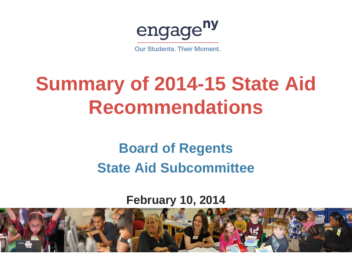engage<sup>ny</sup>

**Our Students, Their Moment.** 

# **Summary of 2014-15 State Aid Recommendations**

#### **Board of Regents State Aid Subcommittee**

#### **February 10, 2014**

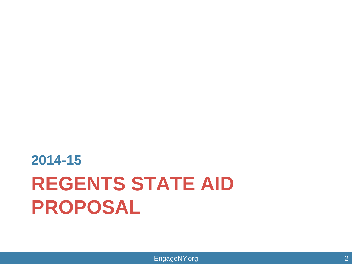# **REGENTS STATE AID PROPOSAL 2014-15**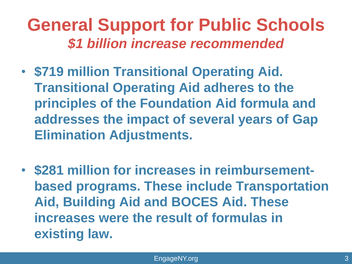### **General Support for Public Schools** *\$1 billion increase recommended*

- **\$719 million Transitional Operating Aid. Transitional Operating Aid adheres to the principles of the Foundation Aid formula and addresses the impact of several years of Gap Elimination Adjustments.**
- **\$281 million for increases in reimbursementbased programs. These include Transportation Aid, Building Aid and BOCES Aid. These increases were the result of formulas in existing law.**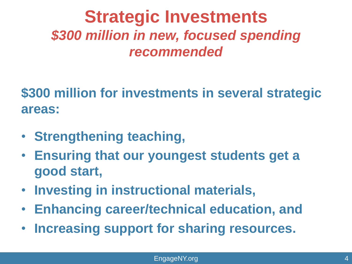### **Strategic Investments** *\$300 million in new, focused spending recommended*

**\$300 million for investments in several strategic areas:** 

- **Strengthening teaching,**
- **Ensuring that our youngest students get a good start,**
- **Investing in instructional materials,**
- **Enhancing career/technical education, and**
- **Increasing support for sharing resources.**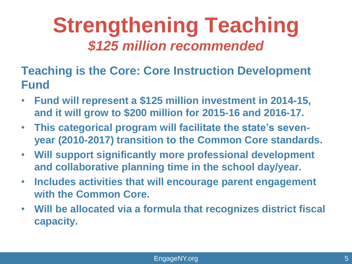### **Strengthening Teaching** *\$125 million recommended*

**Teaching is the Core: Core Instruction Development Fund** 

- **Fund will represent a \$125 million investment in 2014-15, and it will grow to \$200 million for 2015-16 and 2016-17.**
- **This categorical program will facilitate the state's sevenyear (2010-2017) transition to the Common Core standards.**
- **Will support significantly more professional development and collaborative planning time in the school day/year.**
- **Includes activities that will encourage parent engagement with the Common Core.**
- **Will be allocated via a formula that recognizes district fiscal capacity.**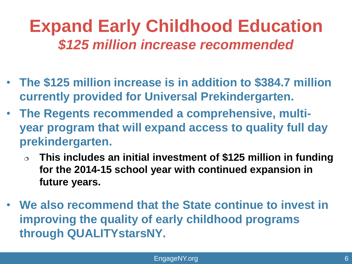### **Expand Early Childhood Education** *\$125 million increase recommended*

- **The \$125 million increase is in addition to \$384.7 million currently provided for Universal Prekindergarten.**
- **The Regents recommended a comprehensive, multiyear program that will expand access to quality full day prekindergarten.** 
	- **This includes an initial investment of \$125 million in funding for the 2014-15 school year with continued expansion in future years.**
- **We also recommend that the State continue to invest in improving the quality of early childhood programs through QUALITYstarsNY.**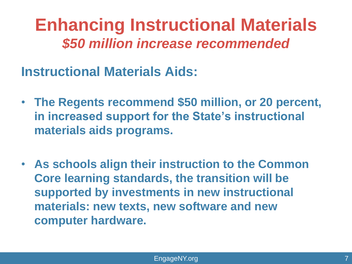**Enhancing Instructional Materials** *\$50 million increase recommended*

**Instructional Materials Aids:** 

- **The Regents recommend \$50 million, or 20 percent, in increased support for the State's instructional materials aids programs.**
- **As schools align their instruction to the Common Core learning standards, the transition will be supported by investments in new instructional materials: new texts, new software and new computer hardware.**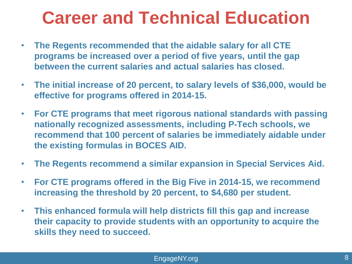### **Career and Technical Education**

- **The Regents recommended that the aidable salary for all CTE programs be increased over a period of five years, until the gap between the current salaries and actual salaries has closed.**
- **The initial increase of 20 percent, to salary levels of \$36,000, would be effective for programs offered in 2014-15.**
- **For CTE programs that meet rigorous national standards with passing nationally recognized assessments, including P-Tech schools, we recommend that 100 percent of salaries be immediately aidable under the existing formulas in BOCES AID.**
- **The Regents recommend a similar expansion in Special Services Aid.**
- **For CTE programs offered in the Big Five in 2014-15, we recommend increasing the threshold by 20 percent, to \$4,680 per student.**
- **This enhanced formula will help districts fill this gap and increase their capacity to provide students with an opportunity to acquire the skills they need to succeed.**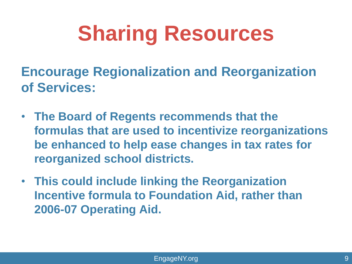# **Sharing Resources**

**Encourage Regionalization and Reorganization of Services:** 

- **The Board of Regents recommends that the formulas that are used to incentivize reorganizations be enhanced to help ease changes in tax rates for reorganized school districts.**
- **This could include linking the Reorganization Incentive formula to Foundation Aid, rather than 2006-07 Operating Aid.**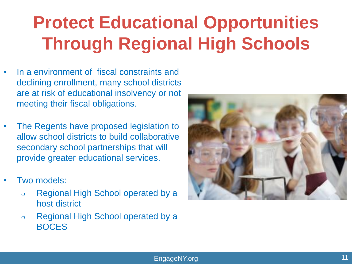### **Protect Educational Opportunities Through Regional High Schools**

- In a environment of fiscal constraints and declining enrollment, many school districts are at risk of educational insolvency or not meeting their fiscal obligations.
- The Regents have proposed legislation to allow school districts to build collaborative secondary school partnerships that will provide greater educational services.
- Two models:
	- Regional High School operated by a host district
	- Regional High School operated by a BOCES

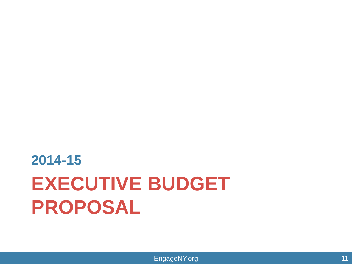# **EXECUTIVE BUDGET PROPOSAL 2014-15**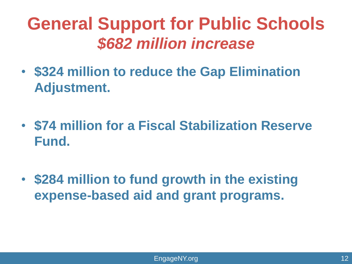### **General Support for Public Schools** *\$682 million increase*

- **\$324 million to reduce the Gap Elimination Adjustment.**
- **\$74 million for a Fiscal Stabilization Reserve Fund.**
- **\$284 million to fund growth in the existing expense-based aid and grant programs.**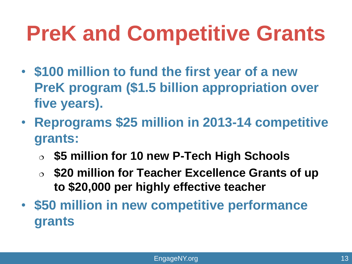# **PreK and Competitive Grants**

- **\$100 million to fund the first year of a new PreK program (\$1.5 billion appropriation over five years).**
- **Reprograms \$25 million in 2013-14 competitive grants:**
	- **\$5 million for 10 new P-Tech High Schools**
	- **\$20 million for Teacher Excellence Grants of up to \$20,000 per highly effective teacher**
- **\$50 million in new competitive performance grants**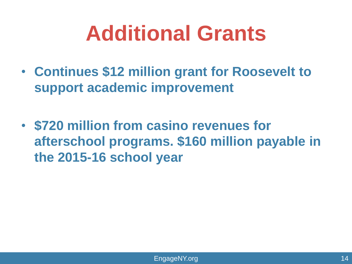# **Additional Grants**

- **Continues \$12 million grant for Roosevelt to support academic improvement**
- **\$720 million from casino revenues for afterschool programs. \$160 million payable in the 2015-16 school year**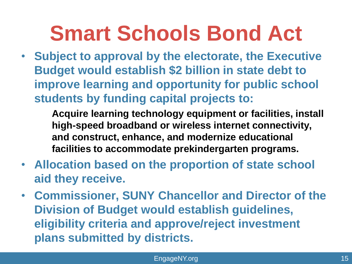# **Smart Schools Bond Act**

• **Subject to approval by the electorate, the Executive Budget would establish \$2 billion in state debt to improve learning and opportunity for public school students by funding capital projects to:**

> **Acquire learning technology equipment or facilities, install high-speed broadband or wireless internet connectivity, and construct, enhance, and modernize educational facilities to accommodate prekindergarten programs.**

- **Allocation based on the proportion of state school aid they receive.**
- **Commissioner, SUNY Chancellor and Director of the Division of Budget would establish guidelines, eligibility criteria and approve/reject investment plans submitted by districts.**